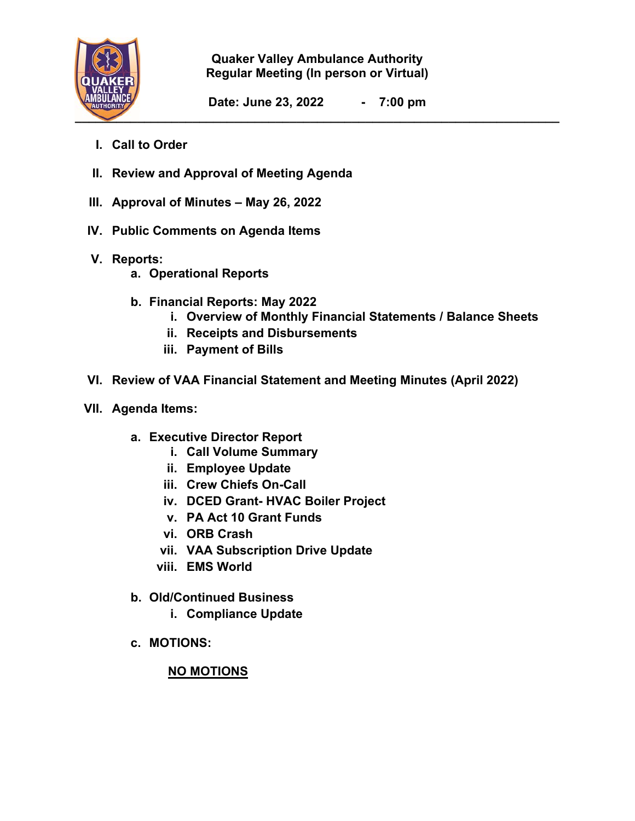

**Quaker Valley Ambulance Authority Regular Meeting (In person or Virtual)** 

**Date: June 23, 2022 - 7:00 pm** 

- **I. Call to Order**
- **II. Review and Approval of Meeting Agenda**
- **III. Approval of Minutes May 26, 2022**
- **IV. Public Comments on Agenda Items**
- **V. Reports:** 
	- **a. Operational Reports**
	- **b. Financial Reports: May 2022** 
		- **i. Overview of Monthly Financial Statements / Balance Sheets**
		- **ii. Receipts and Disbursements**
		- **iii. Payment of Bills**
- **VI. Review of VAA Financial Statement and Meeting Minutes (April 2022)**
- **VII. Agenda Items:** 
	- **a. Executive Director Report** 
		- **i. Call Volume Summary**
		- **ii. Employee Update**
		- **iii. Crew Chiefs On-Call**
		- **iv. DCED Grant- HVAC Boiler Project**
		- **v. PA Act 10 Grant Funds**
		- **vi. ORB Crash**
		- **vii. VAA Subscription Drive Update**
		- **viii. EMS World**
	- **b. Old/Continued Business** 
		- **i. Compliance Update**
	- **c. MOTIONS:**

## **NO MOTIONS**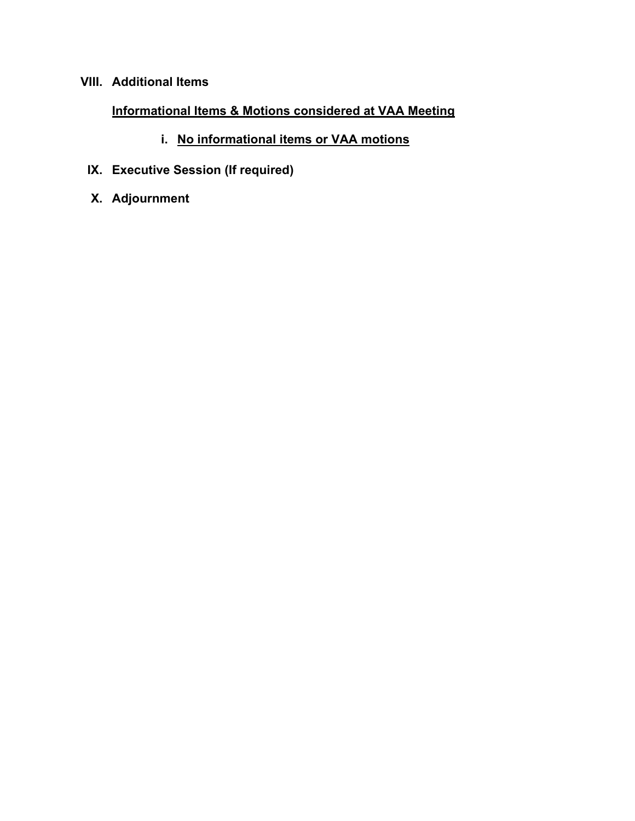## **VIII. Additional Items**

## **Informational Items & Motions considered at VAA Meeting**

- **i. No informational items or VAA motions**
- **IX. Executive Session (If required)**
- **X. Adjournment**